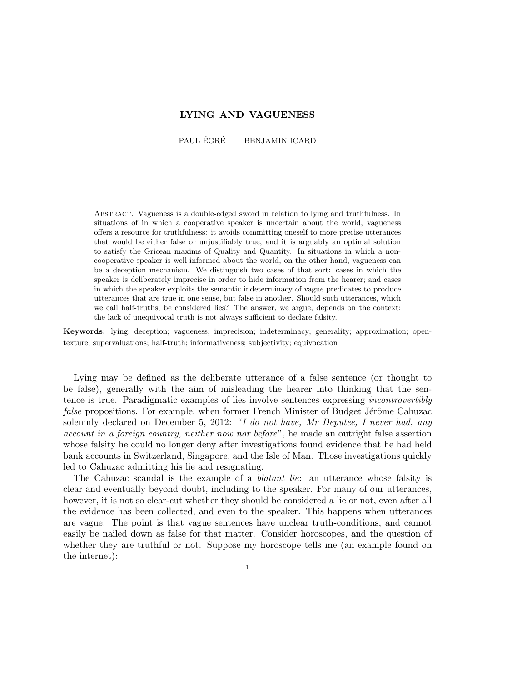PAUL ÉGRÉ **E BENJAMIN ICARD** 

Abstract. Vagueness is a double-edged sword in relation to lying and truthfulness. In situations of in which a cooperative speaker is uncertain about the world, vagueness offers a resource for truthfulness: it avoids committing oneself to more precise utterances that would be either false or unjustifiably true, and it is arguably an optimal solution to satisfy the Gricean maxims of Quality and Quantity. In situations in which a noncooperative speaker is well-informed about the world, on the other hand, vagueness can be a deception mechanism. We distinguish two cases of that sort: cases in which the speaker is deliberately imprecise in order to hide information from the hearer; and cases in which the speaker exploits the semantic indeterminacy of vague predicates to produce utterances that are true in one sense, but false in another. Should such utterances, which we call half-truths, be considered lies? The answer, we argue, depends on the context: the lack of unequivocal truth is not always sufficient to declare falsity.

Keywords: lying; deception; vagueness; imprecision; indeterminacy; generality; approximation; opentexture; supervaluations; half-truth; informativeness; subjectivity; equivocation

Lying may be defined as the deliberate utterance of a false sentence (or thought to be false), generally with the aim of misleading the hearer into thinking that the sentence is true. Paradigmatic examples of lies involve sentences expressing incontrovertibly false propositions. For example, when former French Minister of Budget Jérôme Cahuzac solemnly declared on December 5, 2012: "I do not have, Mr Deputee, I never had, any account in a foreign country, neither now nor before", he made an outright false assertion whose falsity he could no longer deny after investigations found evidence that he had held bank accounts in Switzerland, Singapore, and the Isle of Man. Those investigations quickly led to Cahuzac admitting his lie and resignating.

The Cahuzac scandal is the example of a *blatant lie*: an utterance whose falsity is clear and eventually beyond doubt, including to the speaker. For many of our utterances, however, it is not so clear-cut whether they should be considered a lie or not, even after all the evidence has been collected, and even to the speaker. This happens when utterances are vague. The point is that vague sentences have unclear truth-conditions, and cannot easily be nailed down as false for that matter. Consider horoscopes, and the question of whether they are truthful or not. Suppose my horoscope tells me (an example found on the internet):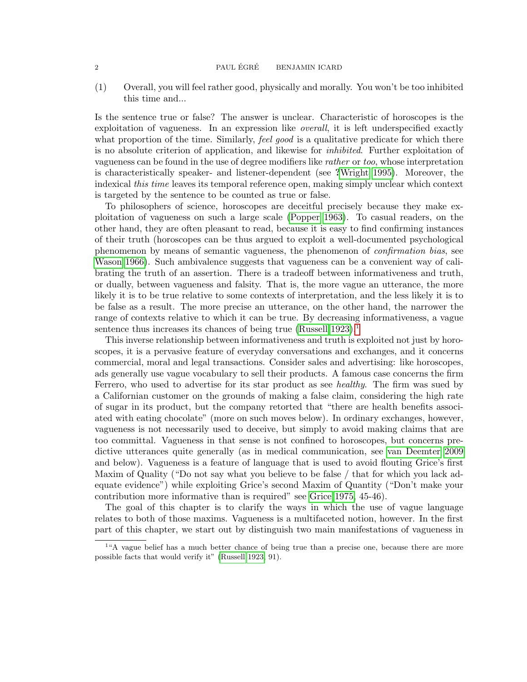(1) Overall, you will feel rather good, physically and morally. You won't be too inhibited this time and...

Is the sentence true or false? The answer is unclear. Characteristic of horoscopes is the exploitation of vagueness. In an expression like *overall*, it is left underspecified exactly what proportion of the time. Similarly, *feel good* is a qualitative predicate for which there is no absolute criterion of application, and likewise for inhibited. Further exploitation of vagueness can be found in the use of degree modifiers like rather or too, whose interpretation is characteristically speaker- and listener-dependent (see ?[Wright 1995\)](#page-16-0). Moreover, the indexical this time leaves its temporal reference open, making simply unclear which context is targeted by the sentence to be counted as true or false.

To philosophers of science, horoscopes are deceitful precisely because they make exploitation of vagueness on such a large scale [\(Popper 1963\)](#page-15-0). To casual readers, on the other hand, they are often pleasant to read, because it is easy to find confirming instances of their truth (horoscopes can be thus argued to exploit a well-documented psychological phenomenon by means of semantic vagueness, the phenomenon of confirmation bias, see [Wason 1966\)](#page-16-1). Such ambivalence suggests that vagueness can be a convenient way of calibrating the truth of an assertion. There is a tradeoff between informativeness and truth, or dually, between vagueness and falsity. That is, the more vague an utterance, the more likely it is to be true relative to some contexts of interpretation, and the less likely it is to be false as a result. The more precise an utterance, on the other hand, the narrower the range of contexts relative to which it can be true. By decreasing informativeness, a vague sentence thus increases its chances of being true [\(Russell 1923\)](#page-15-1).<sup>[1](#page-1-0)</sup>

This inverse relationship between informativeness and truth is exploited not just by horoscopes, it is a pervasive feature of everyday conversations and exchanges, and it concerns commercial, moral and legal transactions. Consider sales and advertising: like horoscopes, ads generally use vague vocabulary to sell their products. A famous case concerns the firm Ferrero, who used to advertise for its star product as see *healthy*. The firm was sued by a Californian customer on the grounds of making a false claim, considering the high rate of sugar in its product, but the company retorted that "there are health benefits associated with eating chocolate" (more on such moves below). In ordinary exchanges, however, vagueness is not necessarily used to deceive, but simply to avoid making claims that are too committal. Vagueness in that sense is not confined to horoscopes, but concerns predictive utterances quite generally (as in medical communication, see [van Deemter 2009](#page-16-2) and below). Vagueness is a feature of language that is used to avoid flouting Grice's first Maxim of Quality ("Do not say what you believe to be false / that for which you lack adequate evidence") while exploiting Grice's second Maxim of Quantity ("Don't make your contribution more informative than is required" see [Grice 1975,](#page-14-0) 45-46).

The goal of this chapter is to clarify the ways in which the use of vague language relates to both of those maxims. Vagueness is a multifaceted notion, however. In the first part of this chapter, we start out by distinguish two main manifestations of vagueness in

<span id="page-1-0"></span><sup>&</sup>lt;sup>1</sup>"A vague belief has a much better chance of being true than a precise one, because there are more possible facts that would verify it" [\(Russell 1923,](#page-15-1) 91).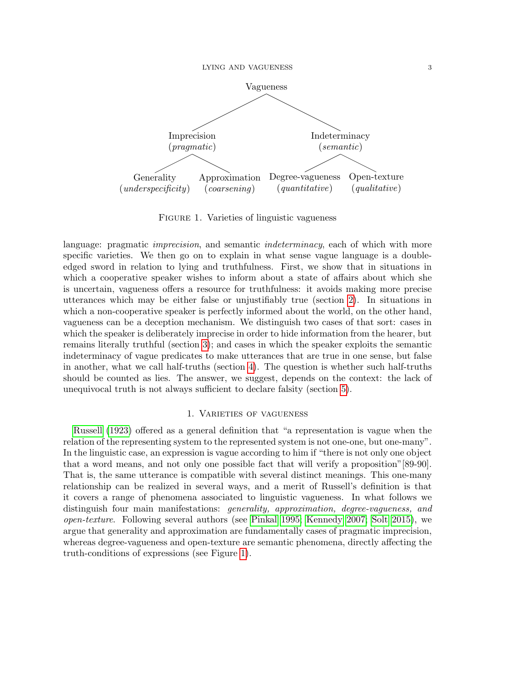

<span id="page-2-0"></span>FIGURE 1. Varieties of linguistic vagueness

language: pragmatic *imprecision*, and semantic *indeterminacy*, each of which with more specific varieties. We then go on to explain in what sense vague language is a doubleedged sword in relation to lying and truthfulness. First, we show that in situations in which a cooperative speaker wishes to inform about a state of affairs about which she is uncertain, vagueness offers a resource for truthfulness: it avoids making more precise utterances which may be either false or unjustifiably true (section [2\)](#page-6-0). In situations in which a non-cooperative speaker is perfectly informed about the world, on the other hand, vagueness can be a deception mechanism. We distinguish two cases of that sort: cases in which the speaker is deliberately imprecise in order to hide information from the hearer, but remains literally truthful (section [3\)](#page-8-0); and cases in which the speaker exploits the semantic indeterminacy of vague predicates to make utterances that are true in one sense, but false in another, what we call half-truths (section [4\)](#page-10-0). The question is whether such half-truths should be counted as lies. The answer, we suggest, depends on the context: the lack of unequivocal truth is not always sufficient to declare falsity (section [5\)](#page-11-0).

# 1. Varieties of vagueness

[Russell](#page-15-1) [\(1923\)](#page-15-1) offered as a general definition that "a representation is vague when the relation of the representing system to the represented system is not one-one, but one-many". In the linguistic case, an expression is vague according to him if "there is not only one object that a word means, and not only one possible fact that will verify a proposition"[89-90]. That is, the same utterance is compatible with several distinct meanings. This one-many relationship can be realized in several ways, and a merit of Russell's definition is that it covers a range of phenomena associated to linguistic vagueness. In what follows we distinguish four main manifestations: *generality, approximation, degree-vagueness, and* open-texture. Following several authors (see [Pinkal 1995;](#page-15-2) [Kennedy 2007;](#page-15-3) [Solt 2015\)](#page-16-3), we argue that generality and approximation are fundamentally cases of pragmatic imprecision, whereas degree-vagueness and open-texture are semantic phenomena, directly affecting the truth-conditions of expressions (see Figure [1\)](#page-2-0).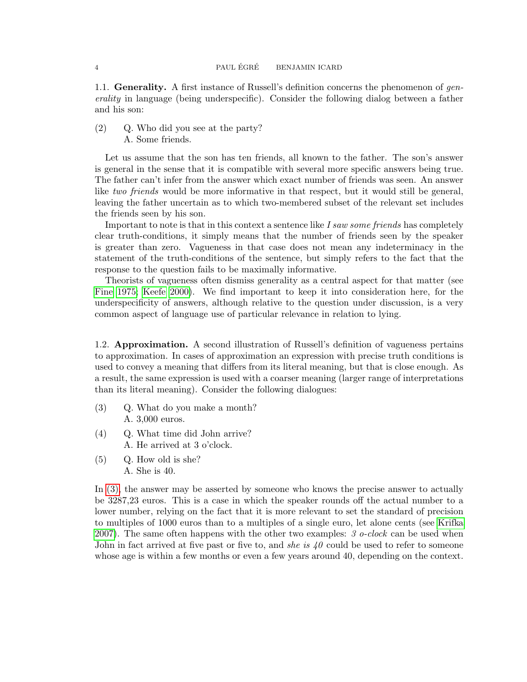1.1. **Generality.** A first instance of Russell's definition concerns the phenomenon of generality in language (being underspecific). Consider the following dialog between a father and his son:

<span id="page-3-1"></span>(2) Q. Who did you see at the party? A. Some friends.

Let us assume that the son has ten friends, all known to the father. The son's answer is general in the sense that it is compatible with several more specific answers being true. The father can't infer from the answer which exact number of friends was seen. An answer like two friends would be more informative in that respect, but it would still be general, leaving the father uncertain as to which two-membered subset of the relevant set includes the friends seen by his son.

Important to note is that in this context a sentence like I saw some friends has completely clear truth-conditions, it simply means that the number of friends seen by the speaker is greater than zero. Vagueness in that case does not mean any indeterminacy in the statement of the truth-conditions of the sentence, but simply refers to the fact that the response to the question fails to be maximally informative.

Theorists of vagueness often dismiss generality as a central aspect for that matter (see [Fine 1975;](#page-14-1) [Keefe 2000\)](#page-14-2). We find important to keep it into consideration here, for the underspecificity of answers, although relative to the question under discussion, is a very common aspect of language use of particular relevance in relation to lying.

1.2. Approximation. A second illustration of Russell's definition of vagueness pertains to approximation. In cases of approximation an expression with precise truth conditions is used to convey a meaning that differs from its literal meaning, but that is close enough. As a result, the same expression is used with a coarser meaning (larger range of interpretations than its literal meaning). Consider the following dialogues:

- <span id="page-3-0"></span>(3) Q. What do you make a month? A. 3,000 euros.
- (4) Q. What time did John arrive? A. He arrived at 3 o'clock.
- (5) Q. How old is she? A. She is 40.

In [\(3\),](#page-3-0) the answer may be asserted by someone who knows the precise answer to actually be 3287,23 euros. This is a case in which the speaker rounds off the actual number to a lower number, relying on the fact that it is more relevant to set the standard of precision to multiples of 1000 euros than to a multiples of a single euro, let alone cents (see [Krifka](#page-15-4) [2007\)](#page-15-4). The same often happens with the other two examples:  $\beta$  o-clock can be used when John in fact arrived at five past or five to, and *she is 40* could be used to refer to someone whose age is within a few months or even a few years around 40, depending on the context.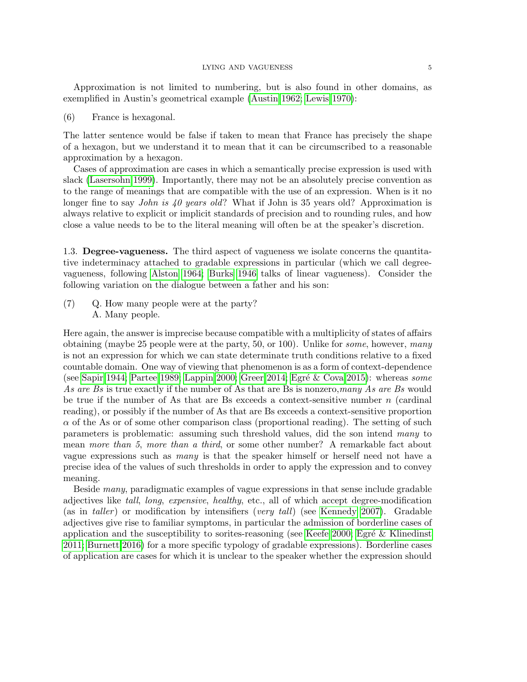#### LYING AND VAGUENESS  $\hspace{1.5cm}5$

Approximation is not limited to numbering, but is also found in other domains, as exemplified in Austin's geometrical example [\(Austin 1962;](#page-14-3) [Lewis 1970\)](#page-15-5):

(6) France is hexagonal.

The latter sentence would be false if taken to mean that France has precisely the shape of a hexagon, but we understand it to mean that it can be circumscribed to a reasonable approximation by a hexagon.

Cases of approximation are cases in which a semantically precise expression is used with slack [\(Lasersohn 1999\)](#page-15-6). Importantly, there may not be an absolutely precise convention as to the range of meanings that are compatible with the use of an expression. When is it no longer fine to say *John is 40 years old*? What if John is 35 years old? Approximation is always relative to explicit or implicit standards of precision and to rounding rules, and how close a value needs to be to the literal meaning will often be at the speaker's discretion.

1.3. Degree-vagueness. The third aspect of vagueness we isolate concerns the quantitative indeterminacy attached to gradable expressions in particular (which we call degreevagueness, following [Alston 1964;](#page-14-4) [Burks 1946](#page-14-5) talks of linear vagueness). Consider the following variation on the dialogue between a father and his son:

(7) Q. How many people were at the party? A. Many people.

Here again, the answer is imprecise because compatible with a multiplicity of states of affairs obtaining (maybe 25 people were at the party, 50, or 100). Unlike for *some*, however, many is not an expression for which we can state determinate truth conditions relative to a fixed countable domain. One way of viewing that phenomenon is as a form of context-dependence (see [Sapir 1944;](#page-16-4) [Partee 1989;](#page-15-7) [Lappin 2000;](#page-15-8) [Greer 2014;](#page-14-6) Egré & Cova 2015): whereas some As are Bs is true exactly if the number of As that are Bs is nonzero, many As are Bs would be true if the number of As that are Bs exceeds a context-sensitive number  $n$  (cardinal reading), or possibly if the number of As that are Bs exceeds a context-sensitive proportion  $\alpha$  of the As or of some other comparison class (proportional reading). The setting of such parameters is problematic: assuming such threshold values, did the son intend many to mean more than 5, more than a third, or some other number? A remarkable fact about vague expressions such as many is that the speaker himself or herself need not have a precise idea of the values of such thresholds in order to apply the expression and to convey meaning.

Beside many, paradigmatic examples of vague expressions in that sense include gradable adjectives like tall, long, expensive, healthy, etc., all of which accept degree-modification (as in taller) or modification by intensifiers (very tall) (see [Kennedy 2007\)](#page-15-3). Gradable adjectives give rise to familiar symptoms, in particular the admission of borderline cases of application and the susceptibility to sorites-reasoning (see [Keefe 2000;](#page-14-2) Egré  $&$  Klinedinst [2011;](#page-14-8) [Burnett 2016\)](#page-14-9) for a more specific typology of gradable expressions). Borderline cases of application are cases for which it is unclear to the speaker whether the expression should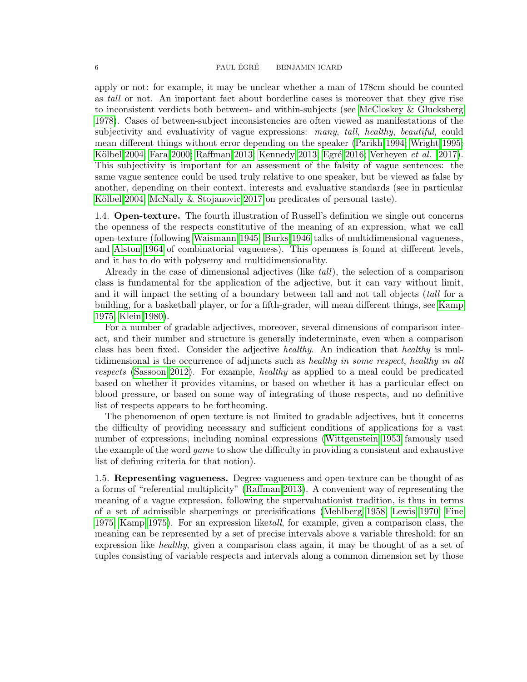apply or not: for example, it may be unclear whether a man of 178cm should be counted as tall or not. An important fact about borderline cases is moreover that they give rise to inconsistent verdicts both between- and within-subjects (see [McCloskey & Glucksberg](#page-15-9) [1978\)](#page-15-9). Cases of between-subject inconsistencies are often viewed as manifestations of the subjectivity and evaluativity of vague expressions: many, tall, healthy, beautiful, could mean different things without error depending on the speaker [\(Parikh 1994;](#page-15-10) [Wright 1995;](#page-16-0) Kölbel 2004; [Fara 2000;](#page-14-10) [Raffman 2013;](#page-15-12) [Kennedy 2013;](#page-15-13) Egré 2016; [Verheyen](#page-16-5) et al. [2017\)](#page-16-5). This subjectivity is important for an assessment of the falsity of vague sentences: the same vague sentence could be used truly relative to one speaker, but be viewed as false by another, depending on their context, interests and evaluative standards (see in particular Kölbel 2004; [McNally & Stojanovic 2017](#page-15-14) on predicates of personal taste).

1.4. Open-texture. The fourth illustration of Russell's definition we single out concerns the openness of the respects constitutive of the meaning of an expression, what we call open-texture (following [Waismann 1945;](#page-16-6) [Burks 1946](#page-14-5) talks of multidimensional vagueness, and [Alston 1964](#page-14-4) of combinatorial vagueness). This openness is found at different levels, and it has to do with polysemy and multidimensionality.

Already in the case of dimensional adjectives (like tall), the selection of a comparison class is fundamental for the application of the adjective, but it can vary without limit, and it will impact the setting of a boundary between tall and not tall objects (tall for a building, for a basketball player, or for a fifth-grader, will mean different things, see [Kamp](#page-14-12) [1975,](#page-14-12) [Klein 1980\)](#page-15-15).

For a number of gradable adjectives, moreover, several dimensions of comparison interact, and their number and structure is generally indeterminate, even when a comparison class has been fixed. Consider the adjective *healthy*. An indication that *healthy* is multidimensional is the occurrence of adjuncts such as healthy in some respect, healthy in all respects [\(Sassoon 2012\)](#page-16-7). For example, healthy as applied to a meal could be predicated based on whether it provides vitamins, or based on whether it has a particular effect on blood pressure, or based on some way of integrating of those respects, and no definitive list of respects appears to be forthcoming.

The phenomenon of open texture is not limited to gradable adjectives, but it concerns the difficulty of providing necessary and sufficient conditions of applications for a vast number of expressions, including nominal expressions [\(Wittgenstein 1953](#page-16-8) famously used the example of the word *game* to show the difficulty in providing a consistent and exhaustive list of defining criteria for that notion).

1.5. Representing vagueness. Degree-vagueness and open-texture can be thought of as a forms of "referential multiplicity" [\(Raffman 2013\)](#page-15-12). A convenient way of representing the meaning of a vague expression, following the supervaluationist tradition, is thus in terms of a set of admissible sharpenings or precisifications [\(Mehlberg 1958;](#page-15-16) [Lewis 1970;](#page-15-5) [Fine](#page-14-1) [1975;](#page-14-1) [Kamp 1975\)](#page-14-12). For an expression liketall, for example, given a comparison class, the meaning can be represented by a set of precise intervals above a variable threshold; for an expression like *healthy*, given a comparison class again, it may be thought of as a set of tuples consisting of variable respects and intervals along a common dimension set by those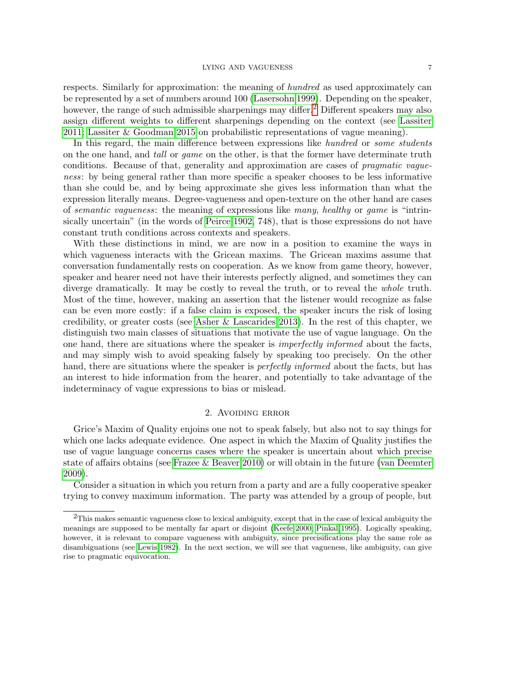respects. Similarly for approximation: the meaning of *hundred* as used approximately can be represented by a set of numbers around 100 [\(Lasersohn 1999\)](#page-15-6). Depending on the speaker, however, the range of such admissible sharpenings may differ.<sup>[2](#page-6-1)</sup> Different speakers may also assign different weights to different sharpenings depending on the context (see [Lassiter](#page-15-17) [2011;](#page-15-17) [Lassiter & Goodman 2015](#page-15-18) on probabilistic representations of vague meaning).

In this regard, the main difference between expressions like *hundred* or *some students* on the one hand, and *tall* or *game* on the other, is that the former have determinate truth conditions. Because of that, generality and approximation are cases of pragmatic vagueness: by being general rather than more specific a speaker chooses to be less informative than she could be, and by being approximate she gives less information than what the expression literally means. Degree-vagueness and open-texture on the other hand are cases of semantic vagueness: the meaning of expressions like many, healthy or game is "intrinsically uncertain" (in the words of [Peirce 1902,](#page-15-19) 748), that is those expressions do not have constant truth conditions across contexts and speakers.

With these distinctions in mind, we are now in a position to examine the ways in which vagueness interacts with the Gricean maxims. The Gricean maxims assume that conversation fundamentally rests on cooperation. As we know from game theory, however, speaker and hearer need not have their interests perfectly aligned, and sometimes they can diverge dramatically. It may be costly to reveal the truth, or to reveal the *whole* truth. Most of the time, however, making an assertion that the listener would recognize as false can be even more costly: if a false claim is exposed, the speaker incurs the risk of losing credibility, or greater costs (see [Asher & Lascarides 2013\)](#page-14-13). In the rest of this chapter, we distinguish two main classes of situations that motivate the use of vague language. On the one hand, there are situations where the speaker is *imperfectly informed* about the facts, and may simply wish to avoid speaking falsely by speaking too precisely. On the other hand, there are situations where the speaker is *perfectly informed* about the facts, but has an interest to hide information from the hearer, and potentially to take advantage of the indeterminacy of vague expressions to bias or mislead.

# 2. Avoiding error

<span id="page-6-0"></span>Grice's Maxim of Quality enjoins one not to speak falsely, but also not to say things for which one lacks adequate evidence. One aspect in which the Maxim of Quality justifies the use of vague language concerns cases where the speaker is uncertain about which precise state of affairs obtains (see [Frazee & Beaver 2010\)](#page-14-14) or will obtain in the future [\(van Deemter](#page-16-2) [2009\)](#page-16-2).

Consider a situation in which you return from a party and are a fully cooperative speaker trying to convey maximum information. The party was attended by a group of people, but

<span id="page-6-1"></span><sup>&</sup>lt;sup>2</sup>This makes semantic vagueness close to lexical ambiguity, except that in the case of lexical ambiguity the meanings are supposed to be mentally far apart or disjoint [\(Keefe 2000;](#page-14-2) [Pinkal 1995\)](#page-15-2). Logically speaking, however, it is relevant to compare vagueness with ambiguity, since precisifications play the same role as disambiguations (see [Lewis 1982\)](#page-15-20). In the next section, we will see that vagueness, like ambiguity, can give rise to pragmatic equivocation.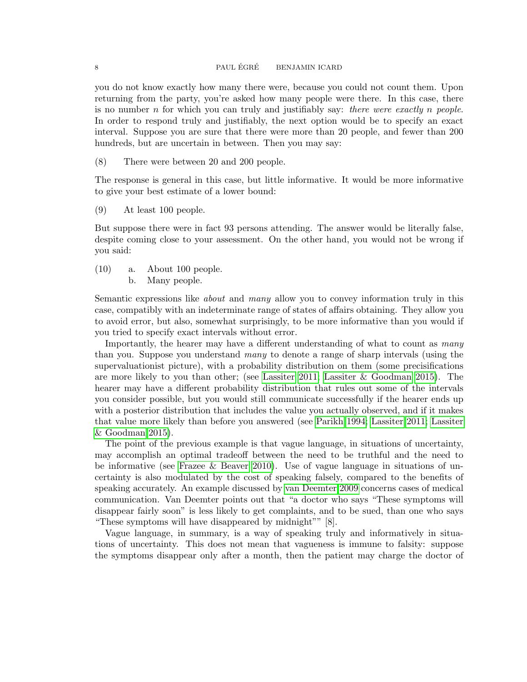you do not know exactly how many there were, because you could not count them. Upon returning from the party, you're asked how many people were there. In this case, there is no number  $n$  for which you can truly and justifiably say: *there were exactly n people.* In order to respond truly and justifiably, the next option would be to specify an exact interval. Suppose you are sure that there were more than 20 people, and fewer than 200 hundreds, but are uncertain in between. Then you may say:

(8) There were between 20 and 200 people.

The response is general in this case, but little informative. It would be more informative to give your best estimate of a lower bound:

(9) At least 100 people.

But suppose there were in fact 93 persons attending. The answer would be literally false, despite coming close to your assessment. On the other hand, you would not be wrong if you said:

- (10) a. About 100 people.
	- b. Many people.

Semantic expressions like *about* and *many* allow you to convey information truly in this case, compatibly with an indeterminate range of states of affairs obtaining. They allow you to avoid error, but also, somewhat surprisingly, to be more informative than you would if you tried to specify exact intervals without error.

Importantly, the hearer may have a different understanding of what to count as many than you. Suppose you understand many to denote a range of sharp intervals (using the supervaluationist picture), with a probability distribution on them (some precisifications are more likely to you than other; (see [Lassiter 2011;](#page-15-17) [Lassiter & Goodman 2015\)](#page-15-18). The hearer may have a different probability distribution that rules out some of the intervals you consider possible, but you would still communicate successfully if the hearer ends up with a posterior distribution that includes the value you actually observed, and if it makes that value more likely than before you answered (see [Parikh 1994;](#page-15-10) [Lassiter 2011;](#page-15-17) [Lassiter](#page-15-18) [& Goodman 2015\)](#page-15-18).

The point of the previous example is that vague language, in situations of uncertainty, may accomplish an optimal tradeoff between the need to be truthful and the need to be informative (see [Frazee & Beaver 2010\)](#page-14-14). Use of vague language in situations of uncertainty is also modulated by the cost of speaking falsely, compared to the benefits of speaking accurately. An example discussed by [van Deemter 2009](#page-16-2) concerns cases of medical communication. Van Deemter points out that "a doctor who says "These symptoms will disappear fairly soon" is less likely to get complaints, and to be sued, than one who says "These symptoms will have disappeared by midnight"" [8].

Vague language, in summary, is a way of speaking truly and informatively in situations of uncertainty. This does not mean that vagueness is immune to falsity: suppose the symptoms disappear only after a month, then the patient may charge the doctor of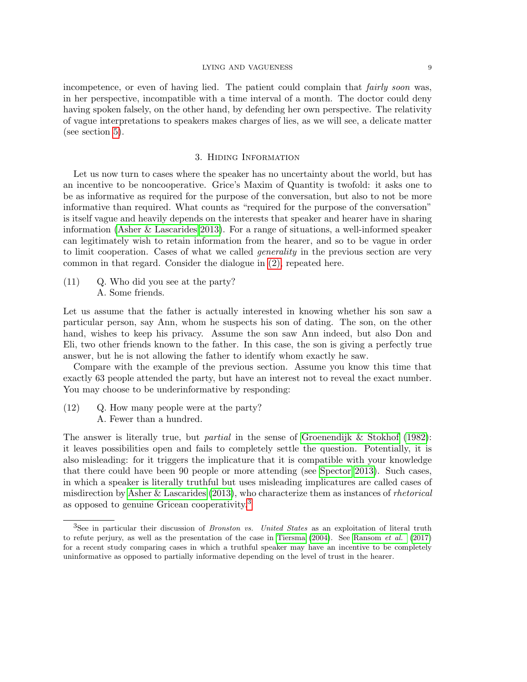incompetence, or even of having lied. The patient could complain that *fairly soon* was, in her perspective, incompatible with a time interval of a month. The doctor could deny having spoken falsely, on the other hand, by defending her own perspective. The relativity of vague interpretations to speakers makes charges of lies, as we will see, a delicate matter (see section [5\)](#page-11-0).

# 3. Hiding Information

<span id="page-8-0"></span>Let us now turn to cases where the speaker has no uncertainty about the world, but has an incentive to be noncooperative. Grice's Maxim of Quantity is twofold: it asks one to be as informative as required for the purpose of the conversation, but also to not be more informative than required. What counts as "required for the purpose of the conversation" is itself vague and heavily depends on the interests that speaker and hearer have in sharing information [\(Asher & Lascarides 2013\)](#page-14-13). For a range of situations, a well-informed speaker can legitimately wish to retain information from the hearer, and so to be vague in order to limit cooperation. Cases of what we called *generality* in the previous section are very common in that regard. Consider the dialogue in [\(2\),](#page-3-1) repeated here.

(11) Q. Who did you see at the party? A. Some friends.

Let us assume that the father is actually interested in knowing whether his son saw a particular person, say Ann, whom he suspects his son of dating. The son, on the other hand, wishes to keep his privacy. Assume the son saw Ann indeed, but also Don and Eli, two other friends known to the father. In this case, the son is giving a perfectly true answer, but he is not allowing the father to identify whom exactly he saw.

Compare with the example of the previous section. Assume you know this time that exactly 63 people attended the party, but have an interest not to reveal the exact number. You may choose to be underinformative by responding:

(12) Q. How many people were at the party? A. Fewer than a hundred.

The answer is literally true, but *partial* in the sense of [Groenendijk & Stokhof](#page-14-15) [\(1982\)](#page-14-15): it leaves possibilities open and fails to completely settle the question. Potentially, it is also misleading: for it triggers the implicature that it is compatible with your knowledge that there could have been 90 people or more attending (see [Spector 2013\)](#page-16-9). Such cases, in which a speaker is literally truthful but uses misleading implicatures are called cases of misdirection by [Asher & Lascarides](#page-14-13)  $(2013)$ , who characterize them as instances of *rhetorical* as opposed to genuine Gricean cooperativity.[3](#page-8-1)

<span id="page-8-1"></span><sup>&</sup>lt;sup>3</sup>See in particular their discussion of *Bronston vs. United States* as an exploitation of literal truth to refute perjury, as well as the presentation of the case in [Tiersma](#page-16-10)  $(2004)$ . See [Ransom](#page-15-21) *et al.*  $(2017)$ for a recent study comparing cases in which a truthful speaker may have an incentive to be completely uninformative as opposed to partially informative depending on the level of trust in the hearer.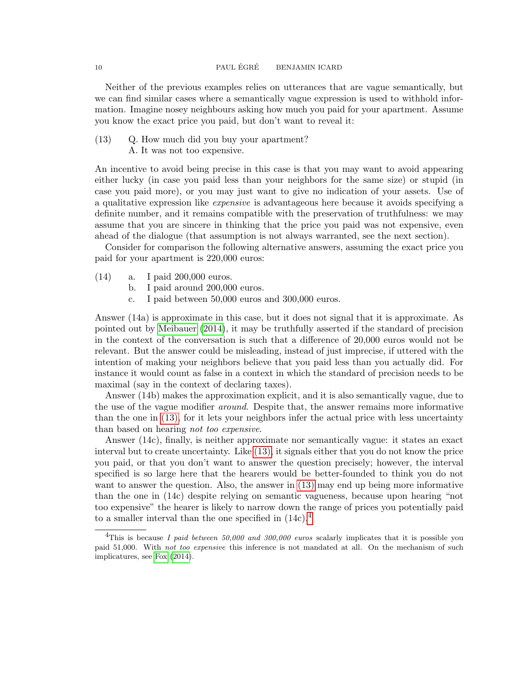Neither of the previous examples relies on utterances that are vague semantically, but we can find similar cases where a semantically vague expression is used to withhold information. Imagine nosey neighbours asking how much you paid for your apartment. Assume you know the exact price you paid, but don't want to reveal it:

# <span id="page-9-0"></span>(13) Q. How much did you buy your apartment? A. It was not too expensive.

An incentive to avoid being precise in this case is that you may want to avoid appearing either lucky (in case you paid less than your neighbors for the same size) or stupid (in case you paid more), or you may just want to give no indication of your assets. Use of a qualitative expression like expensive is advantageous here because it avoids specifying a definite number, and it remains compatible with the preservation of truthfulness: we may assume that you are sincere in thinking that the price you paid was not expensive, even ahead of the dialogue (that assumption is not always warranted, see the next section).

Consider for comparison the following alternative answers, assuming the exact price you paid for your apartment is 220,000 euros:

- (14) a. I paid 200,000 euros.
	- b. I paid around 200,000 euros.
	- c. I paid between 50,000 euros and 300,000 euros.

Answer (14a) is approximate in this case, but it does not signal that it is approximate. As pointed out by [Meibauer](#page-15-22) [\(2014\)](#page-15-22), it may be truthfully asserted if the standard of precision in the context of the conversation is such that a difference of 20,000 euros would not be relevant. But the answer could be misleading, instead of just imprecise, if uttered with the intention of making your neighbors believe that you paid less than you actually did. For instance it would count as false in a context in which the standard of precision needs to be maximal (say in the context of declaring taxes).

Answer (14b) makes the approximation explicit, and it is also semantically vague, due to the use of the vague modifier *around*. Despite that, the answer remains more informative than the one in [\(13\),](#page-9-0) for it lets your neighbors infer the actual price with less uncertainty than based on hearing not too expensive.

Answer (14c), finally, is neither approximate nor semantically vague: it states an exact interval but to create uncertainty. Like [\(13\),](#page-9-0) it signals either that you do not know the price you paid, or that you don't want to answer the question precisely; however, the interval specified is so large here that the hearers would be better-founded to think you do not want to answer the question. Also, the answer in [\(13\)](#page-9-0) may end up being more informative than the one in (14c) despite relying on semantic vagueness, because upon hearing "not too expensive" the hearer is likely to narrow down the range of prices you potentially paid to a smaller interval than the one specified in  $(14c)$  $(14c)$  $(14c)$ <sup>4</sup>

<span id="page-9-1"></span><sup>&</sup>lt;sup>4</sup>This is because I paid between 50,000 and 300,000 euros scalarly implicates that it is possible you paid 51,000. With not too expensive this inference is not mandated at all. On the mechanism of such implicatures, see [Fox](#page-14-16) [\(2014\)](#page-14-16).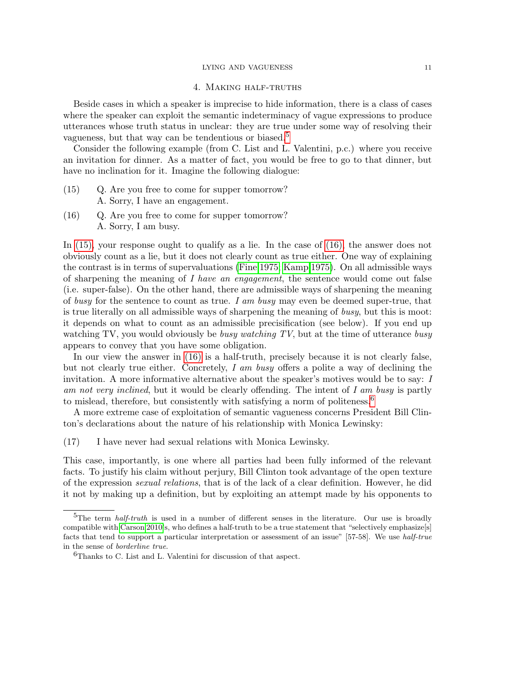# 4. Making half-truths

<span id="page-10-0"></span>Beside cases in which a speaker is imprecise to hide information, there is a class of cases where the speaker can exploit the semantic indeterminacy of vague expressions to produce utterances whose truth status in unclear: they are true under some way of resolving their vagueness, but that way can be tendentious or biased.[5](#page-10-1)

Consider the following example (from C. List and L. Valentini, p.c.) where you receive an invitation for dinner. As a matter of fact, you would be free to go to that dinner, but have no inclination for it. Imagine the following dialogue:

- <span id="page-10-2"></span>(15) Q. Are you free to come for supper tomorrow? A. Sorry, I have an engagement.
- <span id="page-10-3"></span>(16) Q. Are you free to come for supper tomorrow? A. Sorry, I am busy.

In [\(15\),](#page-10-2) your response ought to qualify as a lie. In the case of [\(16\),](#page-10-3) the answer does not obviously count as a lie, but it does not clearly count as true either. One way of explaining the contrast is in terms of supervaluations [\(Fine 1975;](#page-14-1) [Kamp 1975\)](#page-14-12). On all admissible ways of sharpening the meaning of I have an engagement, the sentence would come out false (i.e. super-false). On the other hand, there are admissible ways of sharpening the meaning of busy for the sentence to count as true. I am busy may even be deemed super-true, that is true literally on all admissible ways of sharpening the meaning of busy, but this is moot: it depends on what to count as an admissible precisification (see below). If you end up watching TV, you would obviously be *busy watching TV*, but at the time of utterance *busy* appears to convey that you have some obligation.

In our view the answer in [\(16\)](#page-10-3) is a half-truth, precisely because it is not clearly false, but not clearly true either. Concretely, I am busy offers a polite a way of declining the invitation. A more informative alternative about the speaker's motives would be to say: I am not very inclined, but it would be clearly offending. The intent of I am busy is partly to mislead, therefore, but consistently with satisfying a norm of politeness.<sup>[6](#page-10-4)</sup>

A more extreme case of exploitation of semantic vagueness concerns President Bill Clinton's declarations about the nature of his relationship with Monica Lewinsky:

<span id="page-10-5"></span>(17) I have never had sexual relations with Monica Lewinsky.

This case, importantly, is one where all parties had been fully informed of the relevant facts. To justify his claim without perjury, Bill Clinton took advantage of the open texture of the expression sexual relations, that is of the lack of a clear definition. However, he did it not by making up a definition, but by exploiting an attempt made by his opponents to

<span id="page-10-1"></span> $5$ The term *half-truth* is used in a number of different senses in the literature. Our use is broadly compatible with [Carson 2010'](#page-14-17)s, who defines a half-truth to be a true statement that "selectively emphasize[s] facts that tend to support a particular interpretation or assessment of an issue" [57-58]. We use half-true in the sense of borderline true.

<span id="page-10-4"></span><sup>&</sup>lt;sup>6</sup>Thanks to C. List and L. Valentini for discussion of that aspect.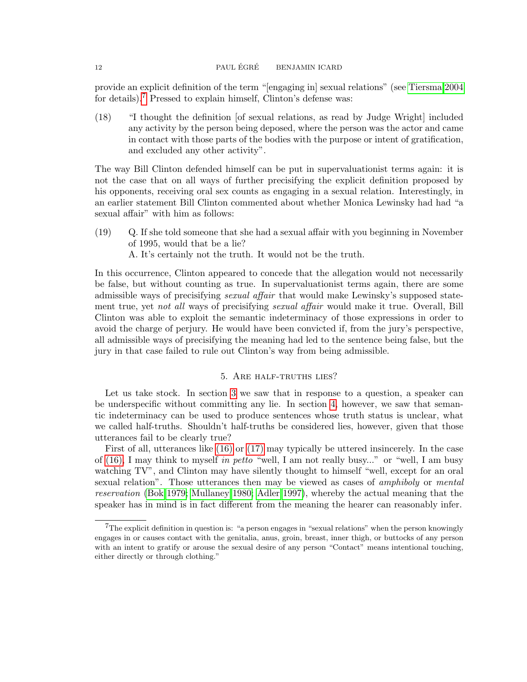provide an explicit definition of the term "[engaging in] sexual relations" (see [Tiersma 2004](#page-16-10) for details).<sup>[7](#page-11-1)</sup> Pressed to explain himself, Clinton's defense was:

(18) "I thought the definition [of sexual relations, as read by Judge Wright] included any activity by the person being deposed, where the person was the actor and came in contact with those parts of the bodies with the purpose or intent of gratification, and excluded any other activity".

The way Bill Clinton defended himself can be put in supervaluationist terms again: it is not the case that on all ways of further precisifying the explicit definition proposed by his opponents, receiving oral sex counts as engaging in a sexual relation. Interestingly, in an earlier statement Bill Clinton commented about whether Monica Lewinsky had had "a sexual affair" with him as follows:

- (19) Q. If she told someone that she had a sexual affair with you beginning in November of 1995, would that be a lie?
	- A. It's certainly not the truth. It would not be the truth.

In this occurrence, Clinton appeared to concede that the allegation would not necessarily be false, but without counting as true. In supervaluationist terms again, there are some admissible ways of precisifying *sexual affair* that would make Lewinsky's supposed statement true, yet not all ways of precisifying sexual affair would make it true. Overall, Bill Clinton was able to exploit the semantic indeterminacy of those expressions in order to avoid the charge of perjury. He would have been convicted if, from the jury's perspective, all admissible ways of precisifying the meaning had led to the sentence being false, but the jury in that case failed to rule out Clinton's way from being admissible.

## 5. Are half-truths lies?

<span id="page-11-0"></span>Let us take stock. In section [3](#page-8-0) we saw that in response to a question, a speaker can be underspecific without committing any lie. In section [4,](#page-10-0) however, we saw that semantic indeterminacy can be used to produce sentences whose truth status is unclear, what we called half-truths. Shouldn't half-truths be considered lies, however, given that those utterances fail to be clearly true?

First of all, utterances like [\(16\)](#page-10-3) or [\(17\)](#page-10-5) may typically be uttered insincerely. In the case of  $(16)$ , I may think to myself in petto "well, I am not really busy..." or "well, I am busy watching TV", and Clinton may have silently thought to himself "well, except for an oral sexual relation". Those utterances then may be viewed as cases of *amphiboly* or *mental* reservation [\(Bok 1979;](#page-14-18) [Mullaney 1980;](#page-15-23) [Adler 1997\)](#page-14-19), whereby the actual meaning that the speaker has in mind is in fact different from the meaning the hearer can reasonably infer.

<span id="page-11-1"></span><sup>7</sup>The explicit definition in question is: "a person engages in "sexual relations" when the person knowingly engages in or causes contact with the genitalia, anus, groin, breast, inner thigh, or buttocks of any person with an intent to gratify or arouse the sexual desire of any person "Contact" means intentional touching, either directly or through clothing."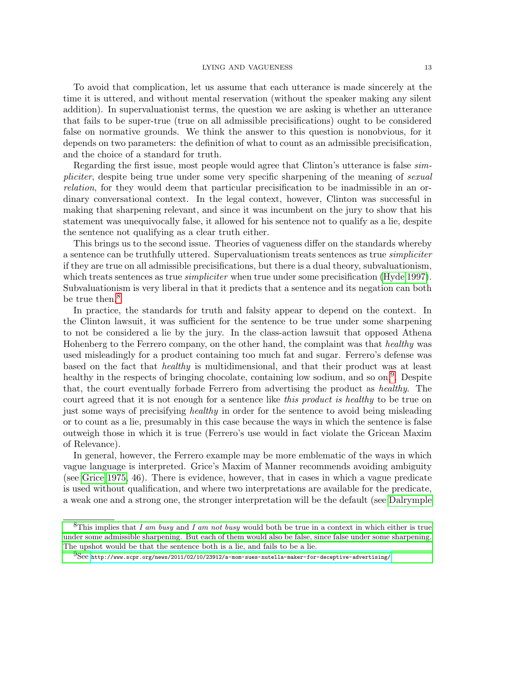To avoid that complication, let us assume that each utterance is made sincerely at the time it is uttered, and without mental reservation (without the speaker making any silent addition). In supervaluationist terms, the question we are asking is whether an utterance that fails to be super-true (true on all admissible precisifications) ought to be considered false on normative grounds. We think the answer to this question is nonobvious, for it depends on two parameters: the definition of what to count as an admissible precisification, and the choice of a standard for truth.

Regarding the first issue, most people would agree that Clinton's utterance is false simpliciter, despite being true under some very specific sharpening of the meaning of *sexual* relation, for they would deem that particular precisification to be inadmissible in an ordinary conversational context. In the legal context, however, Clinton was successful in making that sharpening relevant, and since it was incumbent on the jury to show that his statement was unequivocally false, it allowed for his sentence not to qualify as a lie, despite the sentence not qualifying as a clear truth either.

This brings us to the second issue. Theories of vagueness differ on the standards whereby a sentence can be truthfully uttered. Supervaluationism treats sentences as true *simpliciter* if they are true on all admissible precisifications, but there is a dual theory, subvaluationism, which treats sentences as true *simpliciter* when true under some precisification [\(Hyde 1997\)](#page-14-20). Subvaluationism is very liberal in that it predicts that a sentence and its negation can both be true then.<sup>[8](#page-12-0)</sup>

In practice, the standards for truth and falsity appear to depend on the context. In the Clinton lawsuit, it was sufficient for the sentence to be true under some sharpening to not be considered a lie by the jury. In the class-action lawsuit that opposed Athena Hohenberg to the Ferrero company, on the other hand, the complaint was that healthy was used misleadingly for a product containing too much fat and sugar. Ferrero's defense was based on the fact that healthy is multidimensional, and that their product was at least healthy in the respects of bringing chocolate, containing low sodium, and so on.<sup>[9](#page-12-1)</sup>. Despite that, the court eventually forbade Ferrero from advertising the product as healthy. The court agreed that it is not enough for a sentence like this product is healthy to be true on just some ways of precisifying *healthy* in order for the sentence to avoid being misleading or to count as a lie, presumably in this case because the ways in which the sentence is false outweigh those in which it is true (Ferrero's use would in fact violate the Gricean Maxim of Relevance).

In general, however, the Ferrero example may be more emblematic of the ways in which vague language is interpreted. Grice's Maxim of Manner recommends avoiding ambiguity (see [Grice 1975,](#page-14-0) 46). There is evidence, however, that in cases in which a vague predicate is used without qualification, and where two interpretations are available for the predicate, a weak one and a strong one, the stronger interpretation will be the default (see [Dalrymple](#page-14-21)

<span id="page-12-0"></span><sup>&</sup>lt;sup>8</sup>This implies that I am busy and I am not busy [would both be true in a context in which either is true](#page-14-21) [under some admissible sharpening. But each of them would also be false, since false under some sharpening.](#page-14-21) [The upshot would be that the sentence both is a lie, and fails to be a lie.](#page-14-21)

<span id="page-12-1"></span><sup>9</sup>See [http://www.scpr.org/news/2011/02/10/23912/a-mom-sues-nutella-maker-for-deceptive-advertising/](#page-14-21)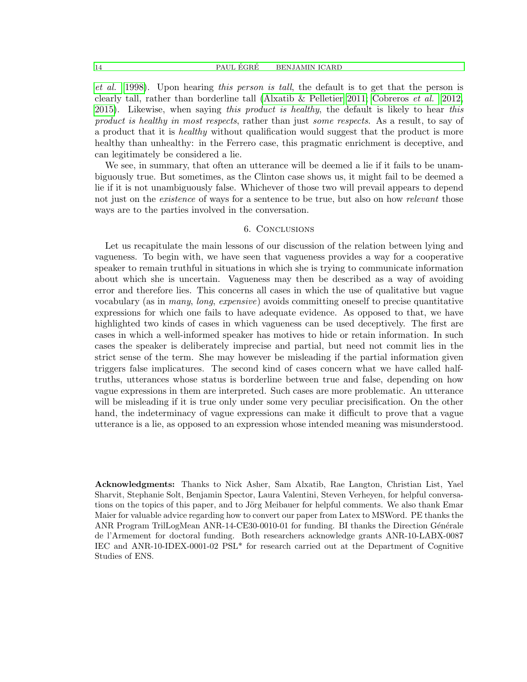[et al.](#page-14-21) [1998\)](#page-14-21). Upon hearing this person is tall, the default is to get that the person is clearly tall, rather than borderline tall [\(Alxatib & Pelletier 2011;](#page-14-22) [Cobreros](#page-14-23) et al. [2012,](#page-14-23) [2015\)](#page-14-24). Likewise, when saying this product is healthy, the default is likely to hear this product is healthy in most respects, rather than just some respects. As a result, to say of a product that it is *healthy* without qualification would suggest that the product is more healthy than unhealthy: in the Ferrero case, this pragmatic enrichment is deceptive, and can legitimately be considered a lie.

We see, in summary, that often an utterance will be deemed a lie if it fails to be unambiguously true. But sometimes, as the Clinton case shows us, it might fail to be deemed a lie if it is not unambiguously false. Whichever of those two will prevail appears to depend not just on the *existence* of ways for a sentence to be true, but also on how *relevant* those ways are to the parties involved in the conversation.

### 6. Conclusions

Let us recapitulate the main lessons of our discussion of the relation between lying and vagueness. To begin with, we have seen that vagueness provides a way for a cooperative speaker to remain truthful in situations in which she is trying to communicate information about which she is uncertain. Vagueness may then be described as a way of avoiding error and therefore lies. This concerns all cases in which the use of qualitative but vague vocabulary (as in many, long, expensive) avoids committing oneself to precise quantitative expressions for which one fails to have adequate evidence. As opposed to that, we have highlighted two kinds of cases in which vagueness can be used deceptively. The first are cases in which a well-informed speaker has motives to hide or retain information. In such cases the speaker is deliberately imprecise and partial, but need not commit lies in the strict sense of the term. She may however be misleading if the partial information given triggers false implicatures. The second kind of cases concern what we have called halftruths, utterances whose status is borderline between true and false, depending on how vague expressions in them are interpreted. Such cases are more problematic. An utterance will be misleading if it is true only under some very peculiar precisification. On the other hand, the indeterminacy of vague expressions can make it difficult to prove that a vague utterance is a lie, as opposed to an expression whose intended meaning was misunderstood.

Acknowledgments: Thanks to Nick Asher, Sam Alxatib, Rae Langton, Christian List, Yael Sharvit, Stephanie Solt, Benjamin Spector, Laura Valentini, Steven Verheyen, for helpful conversations on the topics of this paper, and to Jörg Meibauer for helpful comments. We also thank Emar Maier for valuable advice regarding how to convert our paper from Latex to MSWord. PE thanks the ANR Program TrilLogMean ANR-14-CE30-0010-01 for funding. BI thanks the Direction Générale de l'Armement for doctoral funding. Both researchers acknowledge grants ANR-10-LABX-0087 IEC and ANR-10-IDEX-0001-02 PSL\* for research carried out at the Department of Cognitive Studies of ENS.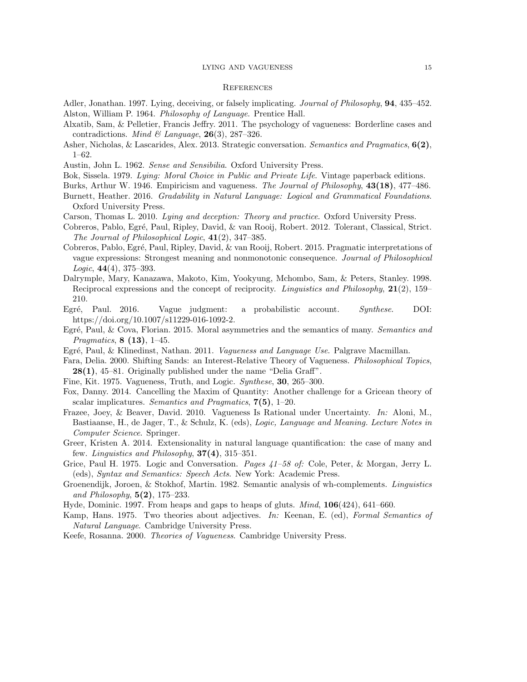#### **REFERENCES**

<span id="page-14-19"></span><span id="page-14-4"></span>Adler, Jonathan. 1997. Lying, deceiving, or falsely implicating. Journal of Philosophy, 94, 435–452. Alston, William P. 1964. Philosophy of Language. Prentice Hall.

- <span id="page-14-22"></span>Alxatib, Sam, & Pelletier, Francis Jeffry. 2011. The psychology of vagueness: Borderline cases and contradictions. Mind & Language,  $26(3)$ , 287–326.
- <span id="page-14-13"></span>Asher, Nicholas, & Lascarides, Alex. 2013. Strategic conversation. Semantics and Pragmatics, 6(2), 1–62.
- <span id="page-14-3"></span>Austin, John L. 1962. Sense and Sensibilia. Oxford University Press.
- <span id="page-14-18"></span>Bok, Sissela. 1979. Lying: Moral Choice in Public and Private Life. Vintage paperback editions.
- <span id="page-14-5"></span>Burks, Arthur W. 1946. Empiricism and vagueness. The Journal of Philosophy, 43(18), 477–486.
- <span id="page-14-9"></span>Burnett, Heather. 2016. Gradability in Natural Language: Logical and Grammatical Foundations. Oxford University Press.
- <span id="page-14-17"></span>Carson, Thomas L. 2010. Lying and deception: Theory and practice. Oxford University Press.
- <span id="page-14-23"></span>Cobreros, Pablo, Egré, Paul, Ripley, David, & van Rooij, Robert. 2012. Tolerant, Classical, Strict. The Journal of Philosophical Logic,  $41(2)$ , 347–385.
- <span id="page-14-24"></span>Cobreros, Pablo, Egr´e, Paul, Ripley, David, & van Rooij, Robert. 2015. Pragmatic interpretations of vague expressions: Strongest meaning and nonmonotonic consequence. Journal of Philosophical  $Logic, 44(4), 375-393.$
- <span id="page-14-21"></span>Dalrymple, Mary, Kanazawa, Makoto, Kim, Yookyung, Mchombo, Sam, & Peters, Stanley. 1998. Reciprocal expressions and the concept of reciprocity. Linguistics and Philosophy, 21(2), 159– 210.
- <span id="page-14-11"></span>Egr´e, Paul. 2016. Vague judgment: a probabilistic account. Synthese. DOI: https://doi.org/10.1007/s11229-016-1092-2.
- <span id="page-14-7"></span>Egré, Paul, & Cova, Florian. 2015. Moral asymmetries and the semantics of many. Semantics and *Pragmatics*, **8** (13), 1–45.
- <span id="page-14-8"></span>Egré, Paul, & Klinedinst, Nathan. 2011. Vagueness and Language Use. Palgrave Macmillan.
- <span id="page-14-10"></span>Fara, Delia. 2000. Shifting Sands: an Interest-Relative Theory of Vagueness. Philosophical Topics, 28(1), 45–81. Originally published under the name "Delia Graff".
- <span id="page-14-1"></span>Fine, Kit. 1975. Vagueness, Truth, and Logic. Synthese, **30**, 265–300.
- <span id="page-14-16"></span>Fox, Danny. 2014. Cancelling the Maxim of Quantity: Another challenge for a Gricean theory of scalar implicatures. Semantics and Pragmatics, 7(5), 1–20.
- <span id="page-14-14"></span>Frazee, Joey, & Beaver, David. 2010. Vagueness Is Rational under Uncertainty. In: Aloni, M., Bastiaanse, H., de Jager, T., & Schulz, K. (eds), Logic, Language and Meaning. Lecture Notes in Computer Science. Springer.
- <span id="page-14-6"></span>Greer, Kristen A. 2014. Extensionality in natural language quantification: the case of many and few. Linguistics and Philosophy,  $37(4)$ ,  $315-351$ .
- <span id="page-14-0"></span>Grice, Paul H. 1975. Logic and Conversation. Pages  $41-58$  of: Cole, Peter, & Morgan, Jerry L. (eds), Syntax and Semantics: Speech Acts. New York: Academic Press.
- <span id="page-14-15"></span>Groenendijk, Joroen, & Stokhof, Martin. 1982. Semantic analysis of wh-complements. Linguistics and Philosophy,  $5(2)$ , 175–233.
- <span id="page-14-20"></span><span id="page-14-12"></span>Hyde, Dominic. 1997. From heaps and gaps to heaps of gluts. Mind, 106(424), 641–660.
- Kamp, Hans. 1975. Two theories about adjectives. In: Keenan, E. (ed), Formal Semantics of Natural Language. Cambridge University Press.

<span id="page-14-2"></span>Keefe, Rosanna. 2000. Theories of Vagueness. Cambridge University Press.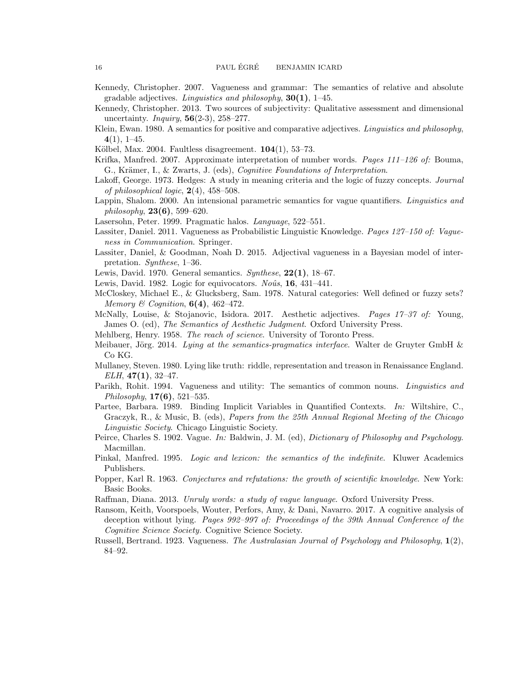- <span id="page-15-3"></span>Kennedy, Christopher. 2007. Vagueness and grammar: The semantics of relative and absolute gradable adjectives. Linguistics and philosophy,  $30(1)$ , 1–45.
- <span id="page-15-13"></span>Kennedy, Christopher. 2013. Two sources of subjectivity: Qualitative assessment and dimensional uncertainty. *Inquiry*,  $56(2-3)$ ,  $258-277$ .
- <span id="page-15-15"></span>Klein, Ewan. 1980. A semantics for positive and comparative adjectives. *Linguistics and philosophy*,  $4(1), 1-45.$
- <span id="page-15-11"></span>Kölbel, Max. 2004. Faultless disagreement.  $104(1)$ , 53–73.
- <span id="page-15-4"></span>Krifka, Manfred. 2007. Approximate interpretation of number words. Pages 111-126 of: Bouma, G., Krämer, I., & Zwarts, J. (eds), *Cognitive Foundations of Interpretation*.
- Lakoff, George. 1973. Hedges: A study in meaning criteria and the logic of fuzzy concepts. Journal of philosophical logic,  $2(4)$ ,  $458-508$ .
- <span id="page-15-8"></span>Lappin, Shalom. 2000. An intensional parametric semantics for vague quantifiers. Linguistics and  $philosophy, 23(6), 599-620.$
- <span id="page-15-6"></span>Lasersohn, Peter. 1999. Pragmatic halos. Language, 522–551.
- <span id="page-15-17"></span>Lassiter, Daniel. 2011. Vagueness as Probabilistic Linguistic Knowledge. Pages 127–150 of: Vagueness in *Communication*. Springer.
- <span id="page-15-18"></span>Lassiter, Daniel, & Goodman, Noah D. 2015. Adjectival vagueness in a Bayesian model of interpretation. Synthese, 1–36.
- <span id="page-15-5"></span>Lewis, David. 1970. General semantics.  $Synthese$ ,  $22(1)$ ,  $18-67$ .
- <span id="page-15-20"></span>Lewis, David. 1982. Logic for equivocators. No $\hat{u}$ s, 16, 431–441.
- <span id="page-15-9"></span>McCloskey, Michael E., & Glucksberg, Sam. 1978. Natural categories: Well defined or fuzzy sets? Memory & Cognition,  $6(4)$ ,  $462-472$ .
- <span id="page-15-14"></span>McNally, Louise, & Stojanovic, Isidora. 2017. Aesthetic adjectives. Pages 17–37 of: Young, James O. (ed), The Semantics of Aesthetic Judgment. Oxford University Press.
- <span id="page-15-22"></span><span id="page-15-16"></span>Mehlberg, Henry. 1958. The reach of science. University of Toronto Press.
- Meibauer, Jörg. 2014. Lying at the semantics-pragmatics interface. Walter de Gruyter GmbH  $\&$ Co KG.
- <span id="page-15-23"></span>Mullaney, Steven. 1980. Lying like truth: riddle, representation and treason in Renaissance England.  $ELH, 47(1), 32-47.$
- <span id="page-15-10"></span>Parikh, Rohit. 1994. Vagueness and utility: The semantics of common nouns. Linguistics and Philosophy,  $17(6)$ , 521-535.
- <span id="page-15-7"></span>Partee, Barbara. 1989. Binding Implicit Variables in Quantified Contexts. In: Wiltshire, C., Graczyk, R., & Music, B. (eds), Papers from the 25th Annual Regional Meeting of the Chicago Linguistic Society. Chicago Linguistic Society.
- <span id="page-15-19"></span>Peirce, Charles S. 1902. Vague. In: Baldwin, J. M. (ed), Dictionary of Philosophy and Psychology. Macmillan.
- <span id="page-15-2"></span>Pinkal, Manfred. 1995. Logic and lexicon: the semantics of the indefinite. Kluwer Academics Publishers.
- <span id="page-15-0"></span>Popper, Karl R. 1963. Conjectures and refutations: the growth of scientific knowledge. New York: Basic Books.
- <span id="page-15-21"></span><span id="page-15-12"></span>Raffman, Diana. 2013. Unruly words: a study of vague language. Oxford University Press.
- Ransom, Keith, Voorspoels, Wouter, Perfors, Amy, & Dani, Navarro. 2017. A cognitive analysis of deception without lying. Pages 992–997 of: Proceedings of the 39th Annual Conference of the Cognitive Science Society. Cognitive Science Society.
- <span id="page-15-1"></span>Russell, Bertrand. 1923. Vagueness. The Australasian Journal of Psychology and Philosophy, 1(2), 84–92.